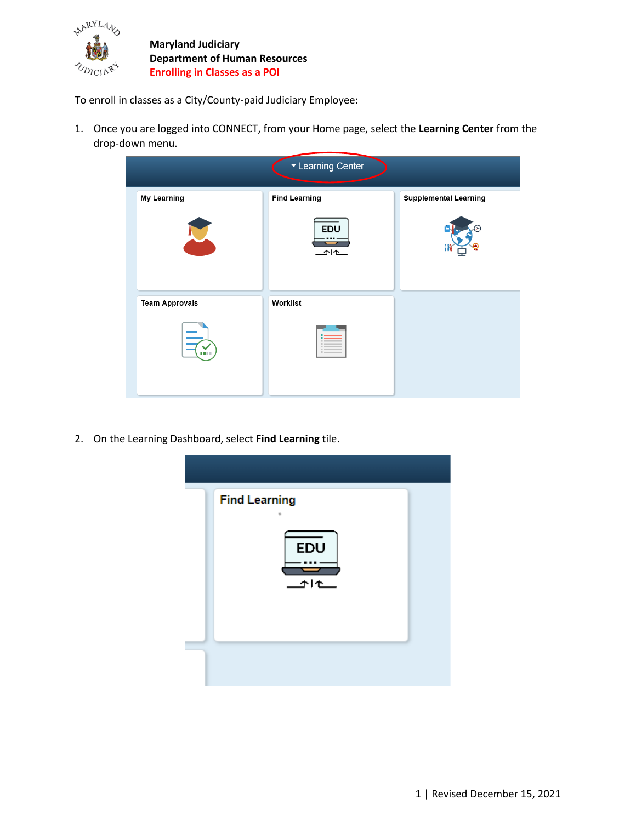

**Maryland Judiciary Department of Human Resources Enrolling in Classes as a POI**

To enroll in classes as a City/County-paid Judiciary Employee:

1. Once you are logged into CONNECT, from your Home page, select the **Learning Center** from the drop-down menu.



2. On the Learning Dashboard, select **Find Learning** tile.

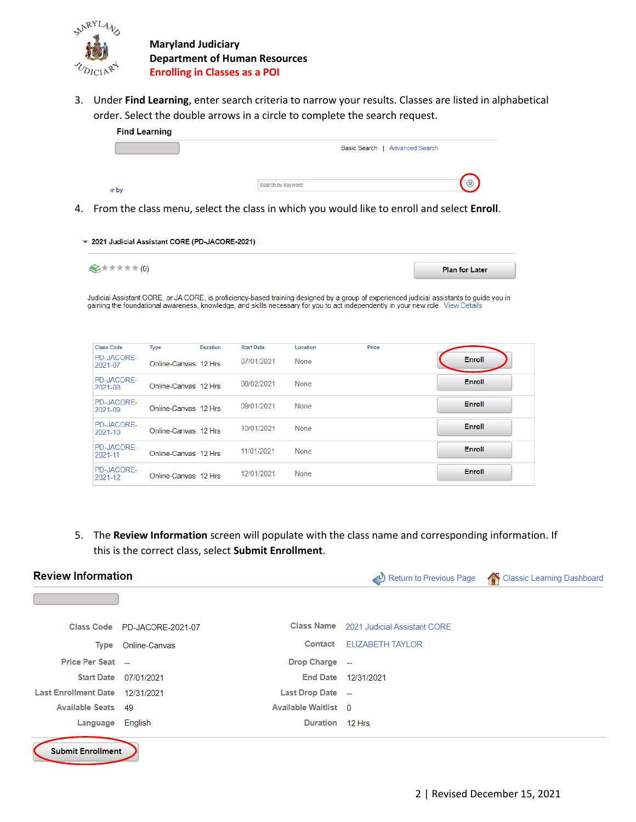

**Maryland Judiciary Department of Human Resources Enrolling in Classes as a POI**

3. Under **Find Learning**, enter search criteria to narrow your results. Classes are listed in alphabetical order. Select the double arrows in a circle to complete the search request.



4. From the class menu, select the class in which you would like to enroll and select **Enroll**.

| ▼ 2021 Judicial Assistant CORE (PD-JACORE-2021) |                       |
|-------------------------------------------------|-----------------------|
| ◎★★★★★(0)                                       | <b>Plan for Later</b> |

Judicial Assistant CORE, or JA CORE, is proficiency-based training designed by a group of experienced judicial assistants to guide you in<br>gaining the foundational awareness, knowledge, and skills necessary for you to act i

| <b>Class Code</b>            | <b>Type</b>          | <b>Duration</b> | <b>Start Date</b> | Location    | Price |               |
|------------------------------|----------------------|-----------------|-------------------|-------------|-------|---------------|
| <b>PD-JACORE-</b><br>2021-07 | Online-Canvas 12 Hrs |                 | 07/01/2021        | None        |       | <b>Enroll</b> |
| <b>PD-JACORE-</b><br>2021-08 | Online-Canvas 12 Hrs |                 | 08/02/2021        | None        |       | Enroll        |
| PD-JACORE-<br>2021-09        | Online-Canvas 12 Hrs |                 | 09/01/2021        | <b>None</b> |       | <b>Enroll</b> |
| <b>PD-JACORE-</b><br>2021-10 | Online-Canvas 12 Hrs |                 | 10/01/2021        | None        |       | Enroll        |
| PD-JACORE-<br>2021-11        | Online-Canvas 12 Hrs |                 | 11/01/2021        | None        |       | Enroll        |
| <b>PD-JACORE-</b><br>2021-12 | Online-Canvas 12 Hrs |                 | 12/01/2021        | None        |       | Enroll        |

5. The **Review Information** screen will populate with the class name and corresponding information. If this is the correct class, select **Submit Enrollment**.

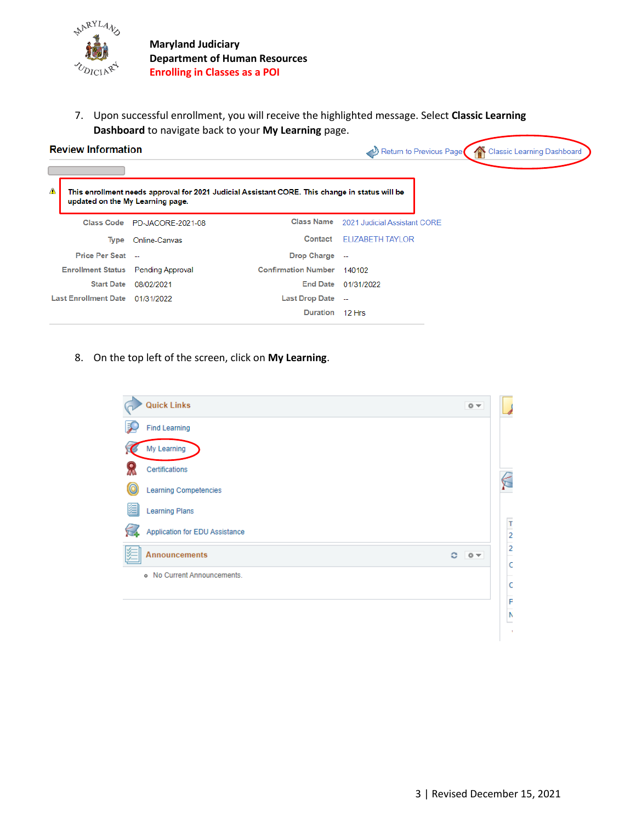

7. Upon successful enrollment, you will receive the highlighted message. Select **Classic Learning Dashboard** to navigate back to your **My Learning** page.

## **Review Information**

Classic Learning Dashboard Return to Previous Page

| Δ | This enrollment needs approval for 2021 Judicial Assistant CORE. This change in status will be<br>updated on the My Learning page. |                              |                            |                                         |  |  |  |  |
|---|------------------------------------------------------------------------------------------------------------------------------------|------------------------------|----------------------------|-----------------------------------------|--|--|--|--|
|   |                                                                                                                                    | Class Code PD-JACORE-2021-08 |                            | Class Name 2021 Judicial Assistant CORE |  |  |  |  |
|   | Type                                                                                                                               | Online-Canvas                | Contact                    | FLIZABETH TAYLOR                        |  |  |  |  |
|   | Price Per Seat --                                                                                                                  |                              | <b>Drop Charge</b>         |                                         |  |  |  |  |
|   | <b>Enrollment Status</b> Pending Approval                                                                                          |                              | <b>Confirmation Number</b> | 140102                                  |  |  |  |  |
|   | <b>Start Date</b>                                                                                                                  | 08/02/2021                   | <b>End Date</b>            | 01/31/2022                              |  |  |  |  |
|   | Last Enrollment Date 01/31/2022                                                                                                    |                              | <b>Last Drop Date</b>      | - 11                                    |  |  |  |  |
|   |                                                                                                                                    |                              | <b>Duration</b>            | $12$ Hrs                                |  |  |  |  |
|   |                                                                                                                                    |                              |                            |                                         |  |  |  |  |

8. On the top left of the screen, click on **My Learning**.